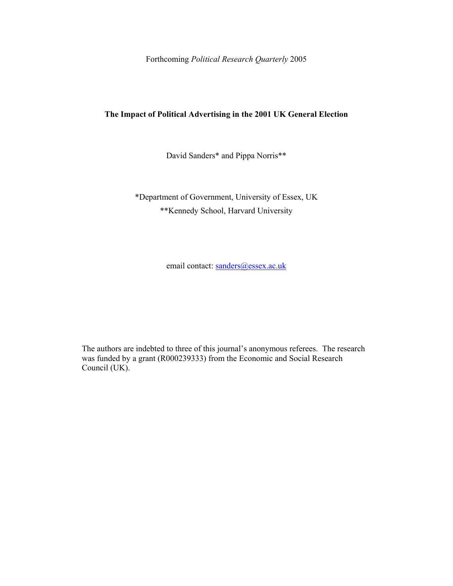Forthcoming *Political Research Quarterly* 2005

# **The Impact of Political Advertising in the 2001 UK General Election**

David Sanders\* and Pippa Norris\*\*

\*Department of Government, University of Essex, UK \*\*Kennedy School, Harvard University

email contact: sanders@essex.ac.uk

The authors are indebted to three of this journal's anonymous referees. The research was funded by a grant (R000239333) from the Economic and Social Research Council (UK).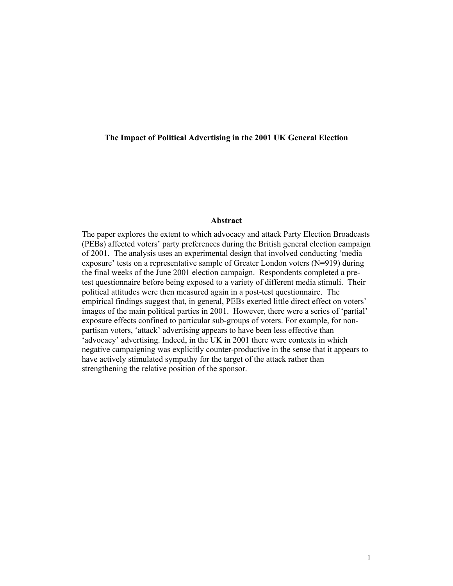## **The Impact of Political Advertising in the 2001 UK General Election**

## **Abstract**

The paper explores the extent to which advocacy and attack Party Election Broadcasts (PEBs) affected voters' party preferences during the British general election campaign of 2001. The analysis uses an experimental design that involved conducting 'media exposure' tests on a representative sample of Greater London voters (N=919) during the final weeks of the June 2001 election campaign. Respondents completed a pretest questionnaire before being exposed to a variety of different media stimuli. Their political attitudes were then measured again in a post-test questionnaire. The empirical findings suggest that, in general, PEBs exerted little direct effect on voters' images of the main political parties in 2001. However, there were a series of 'partial' exposure effects confined to particular sub-groups of voters. For example, for nonpartisan voters, 'attack' advertising appears to have been less effective than 'advocacy' advertising. Indeed, in the UK in 2001 there were contexts in which negative campaigning was explicitly counter-productive in the sense that it appears to have actively stimulated sympathy for the target of the attack rather than strengthening the relative position of the sponsor.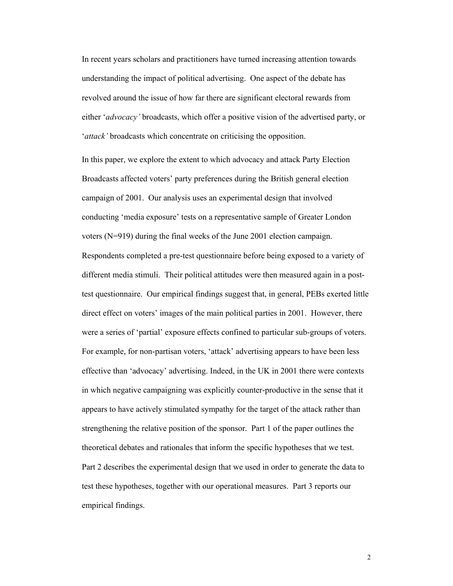In recent years scholars and practitioners have turned increasing attention towards understanding the impact of political advertising. One aspect of the debate has revolved around the issue of how far there are significant electoral rewards from either '*advocacy'* broadcasts, which offer a positive vision of the advertised party, or '*attack'* broadcasts which concentrate on criticising the opposition.

In this paper, we explore the extent to which advocacy and attack Party Election Broadcasts affected voters' party preferences during the British general election campaign of 2001. Our analysis uses an experimental design that involved conducting 'media exposure' tests on a representative sample of Greater London voters (N=919) during the final weeks of the June 2001 election campaign. Respondents completed a pre-test questionnaire before being exposed to a variety of different media stimuli. Their political attitudes were then measured again in a posttest questionnaire. Our empirical findings suggest that, in general, PEBs exerted little direct effect on voters' images of the main political parties in 2001. However, there were a series of 'partial' exposure effects confined to particular sub-groups of voters. For example, for non-partisan voters, 'attack' advertising appears to have been less effective than 'advocacy' advertising. Indeed, in the UK in 2001 there were contexts in which negative campaigning was explicitly counter-productive in the sense that it appears to have actively stimulated sympathy for the target of the attack rather than strengthening the relative position of the sponsor. Part 1 of the paper outlines the theoretical debates and rationales that inform the specific hypotheses that we test. Part 2 describes the experimental design that we used in order to generate the data to test these hypotheses, together with our operational measures. Part 3 reports our empirical findings.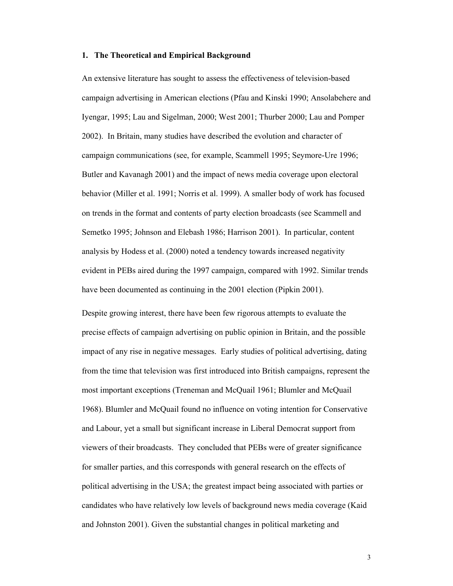## **1. The Theoretical and Empirical Background**

An extensive literature has sought to assess the effectiveness of television-based campaign advertising in American elections (Pfau and Kinski 1990; Ansolabehere and Iyengar, 1995; Lau and Sigelman, 2000; West 2001; Thurber 2000; Lau and Pomper 2002). In Britain, many studies have described the evolution and character of campaign communications (see, for example, Scammell 1995; Seymore-Ure 1996; Butler and Kavanagh 2001) and the impact of news media coverage upon electoral behavior (Miller et al. 1991; Norris et al. 1999). A smaller body of work has focused on trends in the format and contents of party election broadcasts (see Scammell and Semetko 1995; Johnson and Elebash 1986; Harrison 2001). In particular, content analysis by Hodess et al. (2000) noted a tendency towards increased negativity evident in PEBs aired during the 1997 campaign, compared with 1992. Similar trends have been documented as continuing in the 2001 election (Pipkin 2001).

Despite growing interest, there have been few rigorous attempts to evaluate the precise effects of campaign advertising on public opinion in Britain, and the possible impact of any rise in negative messages. Early studies of political advertising, dating from the time that television was first introduced into British campaigns, represent the most important exceptions (Treneman and McQuail 1961; Blumler and McQuail 1968). Blumler and McQuail found no influence on voting intention for Conservative and Labour, yet a small but significant increase in Liberal Democrat support from viewers of their broadcasts. They concluded that PEBs were of greater significance for smaller parties, and this corresponds with general research on the effects of political advertising in the USA; the greatest impact being associated with parties or candidates who have relatively low levels of background news media coverage (Kaid and Johnston 2001). Given the substantial changes in political marketing and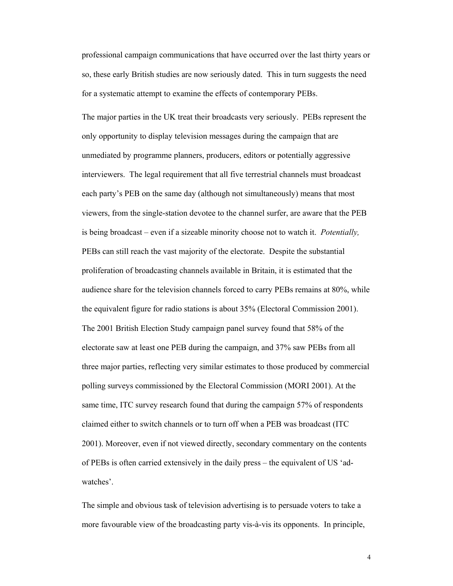professional campaign communications that have occurred over the last thirty years or so, these early British studies are now seriously dated. This in turn suggests the need for a systematic attempt to examine the effects of contemporary PEBs.

The major parties in the UK treat their broadcasts very seriously. PEBs represent the only opportunity to display television messages during the campaign that are unmediated by programme planners, producers, editors or potentially aggressive interviewers. The legal requirement that all five terrestrial channels must broadcast each party's PEB on the same day (although not simultaneously) means that most viewers, from the single-station devotee to the channel surfer, are aware that the PEB is being broadcast – even if a sizeable minority choose not to watch it. *Potentially,* PEBs can still reach the vast majority of the electorate. Despite the substantial proliferation of broadcasting channels available in Britain, it is estimated that the audience share for the television channels forced to carry PEBs remains at 80%, while the equivalent figure for radio stations is about 35% (Electoral Commission 2001). The 2001 British Election Study campaign panel survey found that 58% of the electorate saw at least one PEB during the campaign, and 37% saw PEBs from all three major parties, reflecting very similar estimates to those produced by commercial polling surveys commissioned by the Electoral Commission (MORI 2001). At the same time, ITC survey research found that during the campaign 57% of respondents claimed either to switch channels or to turn off when a PEB was broadcast (ITC 2001). Moreover, even if not viewed directly, secondary commentary on the contents of PEBs is often carried extensively in the daily press – the equivalent of US 'adwatches'.

The simple and obvious task of television advertising is to persuade voters to take a more favourable view of the broadcasting party vis-à-vis its opponents. In principle,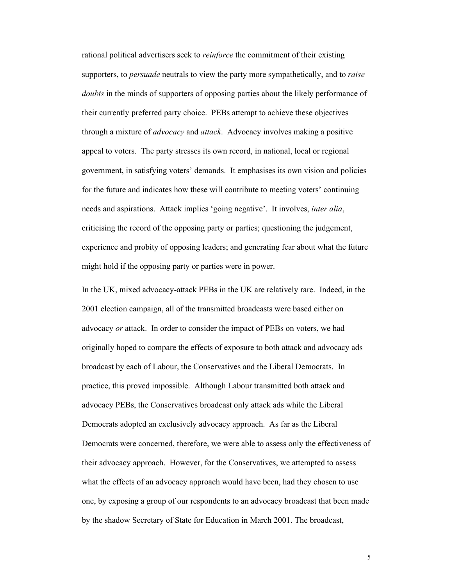rational political advertisers seek to *reinforce* the commitment of their existing supporters, to *persuade* neutrals to view the party more sympathetically, and to *raise doubts* in the minds of supporters of opposing parties about the likely performance of their currently preferred party choice. PEBs attempt to achieve these objectives through a mixture of *advocacy* and *attack*. Advocacy involves making a positive appeal to voters. The party stresses its own record, in national, local or regional government, in satisfying voters' demands. It emphasises its own vision and policies for the future and indicates how these will contribute to meeting voters' continuing needs and aspirations. Attack implies 'going negative'. It involves, *inter alia*, criticising the record of the opposing party or parties; questioning the judgement, experience and probity of opposing leaders; and generating fear about what the future might hold if the opposing party or parties were in power.

In the UK, mixed advocacy-attack PEBs in the UK are relatively rare. Indeed, in the 2001 election campaign, all of the transmitted broadcasts were based either on advocacy *or* attack. In order to consider the impact of PEBs on voters, we had originally hoped to compare the effects of exposure to both attack and advocacy ads broadcast by each of Labour, the Conservatives and the Liberal Democrats. In practice, this proved impossible. Although Labour transmitted both attack and advocacy PEBs, the Conservatives broadcast only attack ads while the Liberal Democrats adopted an exclusively advocacy approach. As far as the Liberal Democrats were concerned, therefore, we were able to assess only the effectiveness of their advocacy approach. However, for the Conservatives, we attempted to assess what the effects of an advocacy approach would have been, had they chosen to use one, by exposing a group of our respondents to an advocacy broadcast that been made by the shadow Secretary of State for Education in March 2001. The broadcast,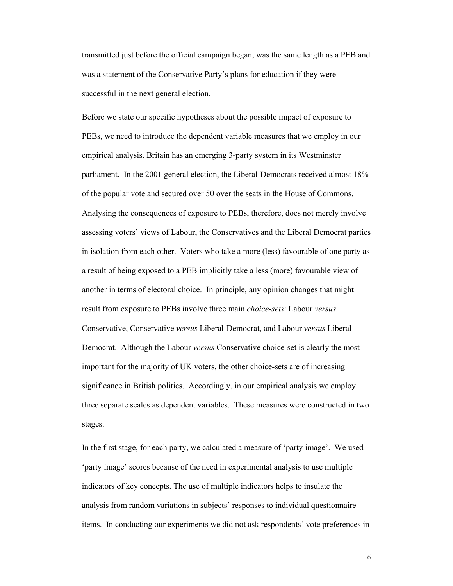transmitted just before the official campaign began, was the same length as a PEB and was a statement of the Conservative Party's plans for education if they were successful in the next general election.

Before we state our specific hypotheses about the possible impact of exposure to PEBs, we need to introduce the dependent variable measures that we employ in our empirical analysis. Britain has an emerging 3-party system in its Westminster parliament. In the 2001 general election, the Liberal-Democrats received almost 18% of the popular vote and secured over 50 over the seats in the House of Commons. Analysing the consequences of exposure to PEBs, therefore, does not merely involve assessing voters' views of Labour, the Conservatives and the Liberal Democrat parties in isolation from each other. Voters who take a more (less) favourable of one party as a result of being exposed to a PEB implicitly take a less (more) favourable view of another in terms of electoral choice. In principle, any opinion changes that might result from exposure to PEBs involve three main *choice-sets*: Labour *versus*  Conservative, Conservative *versus* Liberal-Democrat, and Labour *versus* Liberal-Democrat. Although the Labour *versus* Conservative choice-set is clearly the most important for the majority of UK voters, the other choice-sets are of increasing significance in British politics. Accordingly, in our empirical analysis we employ three separate scales as dependent variables. These measures were constructed in two stages.

In the first stage, for each party, we calculated a measure of 'party image'. We used 'party image' scores because of the need in experimental analysis to use multiple indicators of key concepts. The use of multiple indicators helps to insulate the analysis from random variations in subjects' responses to individual questionnaire items. In conducting our experiments we did not ask respondents' vote preferences in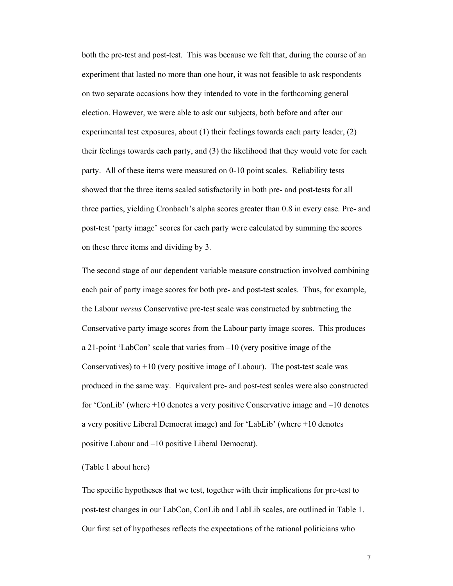both the pre-test and post-test. This was because we felt that, during the course of an experiment that lasted no more than one hour, it was not feasible to ask respondents on two separate occasions how they intended to vote in the forthcoming general election. However, we were able to ask our subjects, both before and after our experimental test exposures, about (1) their feelings towards each party leader, (2) their feelings towards each party, and (3) the likelihood that they would vote for each party. All of these items were measured on 0-10 point scales. Reliability tests showed that the three items scaled satisfactorily in both pre- and post-tests for all three parties, yielding Cronbach's alpha scores greater than 0.8 in every case. Pre- and post-test 'party image' scores for each party were calculated by summing the scores on these three items and dividing by 3.

The second stage of our dependent variable measure construction involved combining each pair of party image scores for both pre- and post-test scales. Thus, for example, the Labour *versus* Conservative pre-test scale was constructed by subtracting the Conservative party image scores from the Labour party image scores. This produces a 21-point 'LabCon' scale that varies from –10 (very positive image of the Conservatives) to  $+10$  (very positive image of Labour). The post-test scale was produced in the same way. Equivalent pre- and post-test scales were also constructed for 'ConLib' (where +10 denotes a very positive Conservative image and –10 denotes a very positive Liberal Democrat image) and for 'LabLib' (where +10 denotes positive Labour and –10 positive Liberal Democrat).

#### (Table 1 about here)

The specific hypotheses that we test, together with their implications for pre-test to post-test changes in our LabCon, ConLib and LabLib scales, are outlined in Table 1. Our first set of hypotheses reflects the expectations of the rational politicians who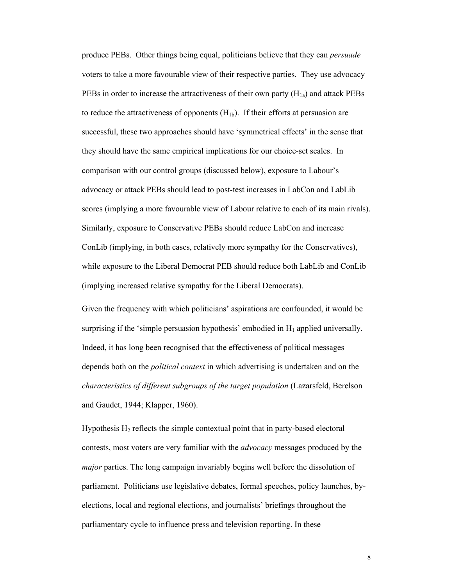produce PEBs. Other things being equal, politicians believe that they can *persuade*  voters to take a more favourable view of their respective parties. They use advocacy PEBs in order to increase the attractiveness of their own party  $(H_{1a})$  and attack PEBs to reduce the attractiveness of opponents  $(H_{1b})$ . If their efforts at persuasion are successful, these two approaches should have 'symmetrical effects' in the sense that they should have the same empirical implications for our choice-set scales. In comparison with our control groups (discussed below), exposure to Labour's advocacy or attack PEBs should lead to post-test increases in LabCon and LabLib scores (implying a more favourable view of Labour relative to each of its main rivals). Similarly, exposure to Conservative PEBs should reduce LabCon and increase ConLib (implying, in both cases, relatively more sympathy for the Conservatives), while exposure to the Liberal Democrat PEB should reduce both LabLib and ConLib (implying increased relative sympathy for the Liberal Democrats).

Given the frequency with which politicians' aspirations are confounded, it would be surprising if the 'simple persuasion hypothesis' embodied in  $H_1$  applied universally. Indeed, it has long been recognised that the effectiveness of political messages depends both on the *political context* in which advertising is undertaken and on the *characteristics of different subgroups of the target population* (Lazarsfeld, Berelson and Gaudet, 1944; Klapper, 1960).

Hypothesis  $H_2$  reflects the simple contextual point that in party-based electoral contests, most voters are very familiar with the *advocacy* messages produced by the *major* parties. The long campaign invariably begins well before the dissolution of parliament. Politicians use legislative debates, formal speeches, policy launches, byelections, local and regional elections, and journalists' briefings throughout the parliamentary cycle to influence press and television reporting. In these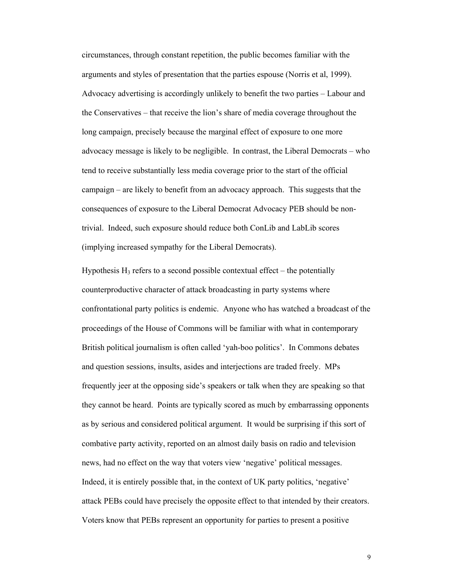circumstances, through constant repetition, the public becomes familiar with the arguments and styles of presentation that the parties espouse (Norris et al, 1999). Advocacy advertising is accordingly unlikely to benefit the two parties – Labour and the Conservatives – that receive the lion's share of media coverage throughout the long campaign, precisely because the marginal effect of exposure to one more advocacy message is likely to be negligible. In contrast, the Liberal Democrats – who tend to receive substantially less media coverage prior to the start of the official campaign – are likely to benefit from an advocacy approach. This suggests that the consequences of exposure to the Liberal Democrat Advocacy PEB should be nontrivial. Indeed, such exposure should reduce both ConLib and LabLib scores (implying increased sympathy for the Liberal Democrats).

Hypothesis  $H_3$  refers to a second possible contextual effect – the potentially counterproductive character of attack broadcasting in party systems where confrontational party politics is endemic. Anyone who has watched a broadcast of the proceedings of the House of Commons will be familiar with what in contemporary British political journalism is often called 'yah-boo politics'. In Commons debates and question sessions, insults, asides and interjections are traded freely. MPs frequently jeer at the opposing side's speakers or talk when they are speaking so that they cannot be heard. Points are typically scored as much by embarrassing opponents as by serious and considered political argument. It would be surprising if this sort of combative party activity, reported on an almost daily basis on radio and television news, had no effect on the way that voters view 'negative' political messages. Indeed, it is entirely possible that, in the context of UK party politics, 'negative' attack PEBs could have precisely the opposite effect to that intended by their creators. Voters know that PEBs represent an opportunity for parties to present a positive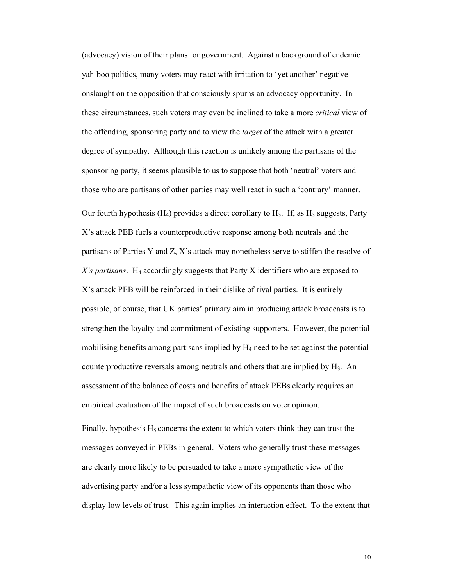(advocacy) vision of their plans for government. Against a background of endemic yah-boo politics, many voters may react with irritation to 'yet another' negative onslaught on the opposition that consciously spurns an advocacy opportunity. In these circumstances, such voters may even be inclined to take a more *critical* view of the offending, sponsoring party and to view the *target* of the attack with a greater degree of sympathy. Although this reaction is unlikely among the partisans of the sponsoring party, it seems plausible to us to suppose that both 'neutral' voters and those who are partisans of other parties may well react in such a 'contrary' manner. Our fourth hypothesis ( $H_4$ ) provides a direct corollary to  $H_3$ . If, as  $H_3$  suggests, Party X's attack PEB fuels a counterproductive response among both neutrals and the partisans of Parties Y and Z, X's attack may nonetheless serve to stiffen the resolve of X's partisans. H<sub>4</sub> accordingly suggests that Party X identifiers who are exposed to X's attack PEB will be reinforced in their dislike of rival parties. It is entirely possible, of course, that UK parties' primary aim in producing attack broadcasts is to strengthen the loyalty and commitment of existing supporters. However, the potential mobilising benefits among partisans implied by  $H_4$  need to be set against the potential counterproductive reversals among neutrals and others that are implied by  $H_3$ . An assessment of the balance of costs and benefits of attack PEBs clearly requires an empirical evaluation of the impact of such broadcasts on voter opinion.

Finally, hypothesis  $H_5$  concerns the extent to which voters think they can trust the messages conveyed in PEBs in general. Voters who generally trust these messages are clearly more likely to be persuaded to take a more sympathetic view of the advertising party and/or a less sympathetic view of its opponents than those who display low levels of trust. This again implies an interaction effect. To the extent that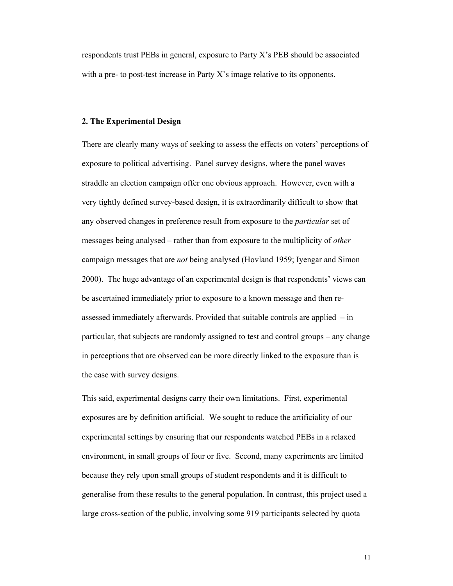respondents trust PEBs in general, exposure to Party X's PEB should be associated with a pre- to post-test increase in Party X's image relative to its opponents.

## **2. The Experimental Design**

There are clearly many ways of seeking to assess the effects on voters' perceptions of exposure to political advertising. Panel survey designs, where the panel waves straddle an election campaign offer one obvious approach. However, even with a very tightly defined survey-based design, it is extraordinarily difficult to show that any observed changes in preference result from exposure to the *particular* set of messages being analysed – rather than from exposure to the multiplicity of *other* campaign messages that are *not* being analysed (Hovland 1959; Iyengar and Simon 2000). The huge advantage of an experimental design is that respondents' views can be ascertained immediately prior to exposure to a known message and then reassessed immediately afterwards. Provided that suitable controls are applied – in particular, that subjects are randomly assigned to test and control groups – any change in perceptions that are observed can be more directly linked to the exposure than is the case with survey designs.

This said, experimental designs carry their own limitations. First, experimental exposures are by definition artificial. We sought to reduce the artificiality of our experimental settings by ensuring that our respondents watched PEBs in a relaxed environment, in small groups of four or five. Second, many experiments are limited because they rely upon small groups of student respondents and it is difficult to generalise from these results to the general population. In contrast, this project used a large cross-section of the public, involving some 919 participants selected by quota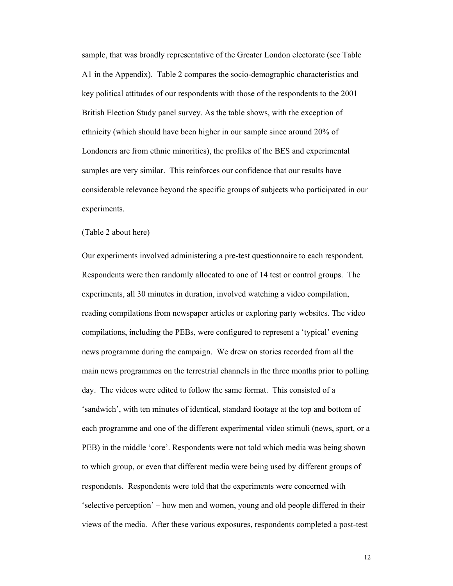sample, that was broadly representative of the Greater London electorate (see Table A1 in the Appendix). Table 2 compares the socio-demographic characteristics and key political attitudes of our respondents with those of the respondents to the 2001 British Election Study panel survey. As the table shows, with the exception of ethnicity (which should have been higher in our sample since around 20% of Londoners are from ethnic minorities), the profiles of the BES and experimental samples are very similar. This reinforces our confidence that our results have considerable relevance beyond the specific groups of subjects who participated in our experiments.

## (Table 2 about here)

Our experiments involved administering a pre-test questionnaire to each respondent. Respondents were then randomly allocated to one of 14 test or control groups. The experiments, all 30 minutes in duration, involved watching a video compilation, reading compilations from newspaper articles or exploring party websites. The video compilations, including the PEBs, were configured to represent a 'typical' evening news programme during the campaign. We drew on stories recorded from all the main news programmes on the terrestrial channels in the three months prior to polling day. The videos were edited to follow the same format. This consisted of a 'sandwich', with ten minutes of identical, standard footage at the top and bottom of each programme and one of the different experimental video stimuli (news, sport, or a PEB) in the middle 'core'. Respondents were not told which media was being shown to which group, or even that different media were being used by different groups of respondents. Respondents were told that the experiments were concerned with 'selective perception' – how men and women, young and old people differed in their views of the media. After these various exposures, respondents completed a post-test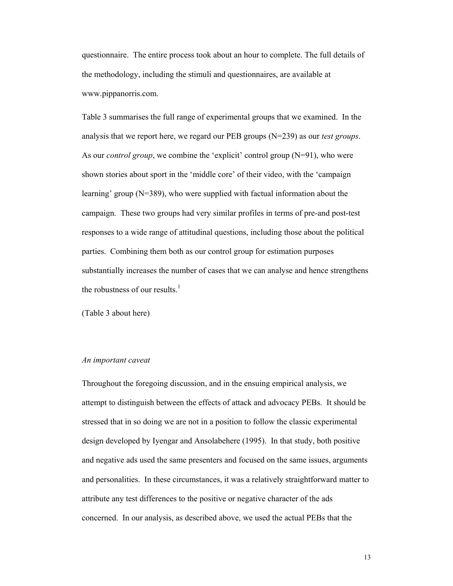questionnaire. The entire process took about an hour to complete. The full details of the methodology, including the stimuli and questionnaires, are available at www.pippanorris.com.

Table 3 summarises the full range of experimental groups that we examined. In the analysis that we report here, we regard our PEB groups (N=239) as our *test groups*. As our *control group*, we combine the 'explicit' control group (N=91), who were shown stories about sport in the 'middle core' of their video, with the 'campaign learning' group (N=389), who were supplied with factual information about the campaign. These two groups had very similar profiles in terms of pre-and post-test responses to a wide range of attitudinal questions, including those about the political parties. Combining them both as our control group for estimation purposes substantially increases the number of cases that we can analyse and hence strengthens the robustness of our results. $<sup>1</sup>$ </sup>

(Table 3 about here)

#### *An important caveat*

Throughout the foregoing discussion, and in the ensuing empirical analysis, we attempt to distinguish between the effects of attack and advocacy PEBs. It should be stressed that in so doing we are not in a position to follow the classic experimental design developed by Iyengar and Ansolabehere (1995). In that study, both positive and negative ads used the same presenters and focused on the same issues, arguments and personalities. In these circumstances, it was a relatively straightforward matter to attribute any test differences to the positive or negative character of the ads concerned. In our analysis, as described above, we used the actual PEBs that the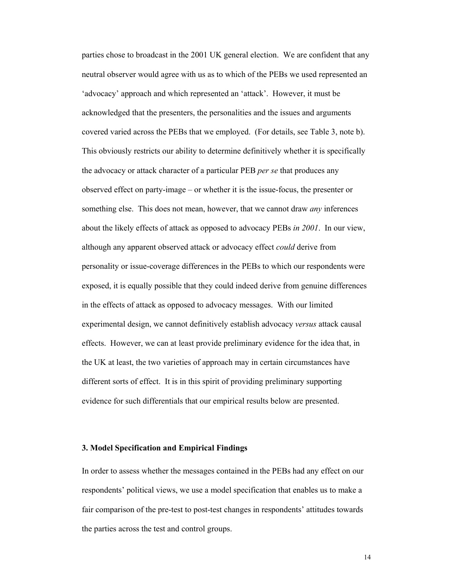parties chose to broadcast in the 2001 UK general election. We are confident that any neutral observer would agree with us as to which of the PEBs we used represented an 'advocacy' approach and which represented an 'attack'. However, it must be acknowledged that the presenters, the personalities and the issues and arguments covered varied across the PEBs that we employed. (For details, see Table 3, note b). This obviously restricts our ability to determine definitively whether it is specifically the advocacy or attack character of a particular PEB *per se* that produces any observed effect on party-image – or whether it is the issue-focus, the presenter or something else. This does not mean, however, that we cannot draw *any* inferences about the likely effects of attack as opposed to advocacy PEBs *in 2001*. In our view, although any apparent observed attack or advocacy effect *could* derive from personality or issue-coverage differences in the PEBs to which our respondents were exposed, it is equally possible that they could indeed derive from genuine differences in the effects of attack as opposed to advocacy messages. With our limited experimental design, we cannot definitively establish advocacy *versus* attack causal effects. However, we can at least provide preliminary evidence for the idea that, in the UK at least, the two varieties of approach may in certain circumstances have different sorts of effect. It is in this spirit of providing preliminary supporting evidence for such differentials that our empirical results below are presented.

## **3. Model Specification and Empirical Findings**

In order to assess whether the messages contained in the PEBs had any effect on our respondents' political views, we use a model specification that enables us to make a fair comparison of the pre-test to post-test changes in respondents' attitudes towards the parties across the test and control groups.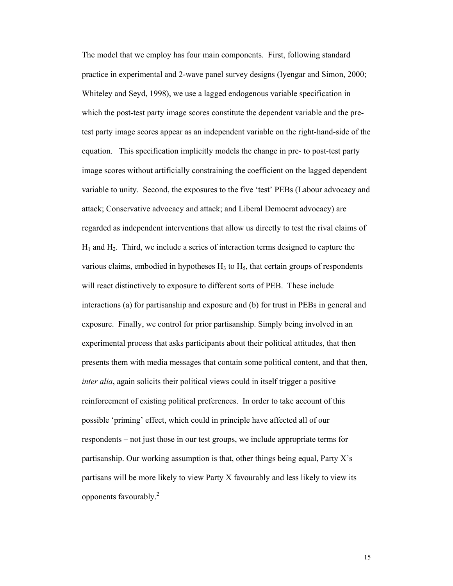The model that we employ has four main components. First, following standard practice in experimental and 2-wave panel survey designs (Iyengar and Simon, 2000; Whiteley and Seyd, 1998), we use a lagged endogenous variable specification in which the post-test party image scores constitute the dependent variable and the pretest party image scores appear as an independent variable on the right-hand-side of the equation. This specification implicitly models the change in pre- to post-test party image scores without artificially constraining the coefficient on the lagged dependent variable to unity. Second, the exposures to the five 'test' PEBs (Labour advocacy and attack; Conservative advocacy and attack; and Liberal Democrat advocacy) are regarded as independent interventions that allow us directly to test the rival claims of  $H_1$  and  $H_2$ . Third, we include a series of interaction terms designed to capture the various claims, embodied in hypotheses  $H_3$  to  $H_5$ , that certain groups of respondents will react distinctively to exposure to different sorts of PEB. These include interactions (a) for partisanship and exposure and (b) for trust in PEBs in general and exposure. Finally, we control for prior partisanship. Simply being involved in an experimental process that asks participants about their political attitudes, that then presents them with media messages that contain some political content, and that then, *inter alia*, again solicits their political views could in itself trigger a positive reinforcement of existing political preferences. In order to take account of this possible 'priming' effect, which could in principle have affected all of our respondents – not just those in our test groups, we include appropriate terms for partisanship. Our working assumption is that, other things being equal, Party X's partisans will be more likely to view Party X favourably and less likely to view its opponents favourably. $^{2}$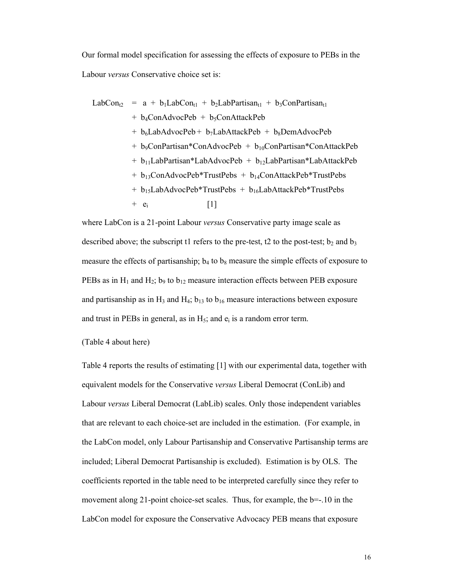Our formal model specification for assessing the effects of exposure to PEBs in the Labour *versus* Conservative choice set is:

$$
LabCon_{t2} = a + b_1LabCon_{t1} + b_2LabPartisan_{t1} + b_3ConPartisan_{t1}
$$
  
+ b\_4ConAdvoPeb + b\_5ConAttackPeb  
+ b\_6LabAdvoPeb + b\_7LabAttackPeb + b\_8DemAdvoPeb  
+ b\_9ConPartisan\*ConAdvoPeb + b\_{10}ConPartisan\*ConAttackPeb  
+ b\_{11}LabPartisan\*LabAdvoPeb + b\_{12}LabPartisan\*LabAttackPeb  
+ b\_{13}ConAdvoPeb\*TrustPebs + b\_{14}ConAttackPeb\*TrustPebs  
+ b\_{15}LabAdvoPeb\*TrustPebs + b\_{16}LabAttackPeb\*TrustPebs  
+ e<sub>i</sub> [1]

where LabCon is a 21-point Labour *versus* Conservative party image scale as described above; the subscript t1 refers to the pre-test, t2 to the post-test;  $b_2$  and  $b_3$ measure the effects of partisanship;  $b_4$  to  $b_8$  measure the simple effects of exposure to PEBs as in  $H_1$  and  $H_2$ ; b<sub>9</sub> to  $b_{12}$  measure interaction effects between PEB exposure and partisanship as in  $H_3$  and  $H_4$ ;  $b_{13}$  to  $b_{16}$  measure interactions between exposure and trust in PEBs in general, as in  $H_5$ ; and  $e_i$  is a random error term.

# (Table 4 about here)

Table 4 reports the results of estimating [1] with our experimental data, together with equivalent models for the Conservative *versus* Liberal Democrat (ConLib) and Labour *versus* Liberal Democrat (LabLib) scales. Only those independent variables that are relevant to each choice-set are included in the estimation. (For example, in the LabCon model, only Labour Partisanship and Conservative Partisanship terms are included; Liberal Democrat Partisanship is excluded). Estimation is by OLS. The coefficients reported in the table need to be interpreted carefully since they refer to movement along 21-point choice-set scales. Thus, for example, the b=-.10 in the LabCon model for exposure the Conservative Advocacy PEB means that exposure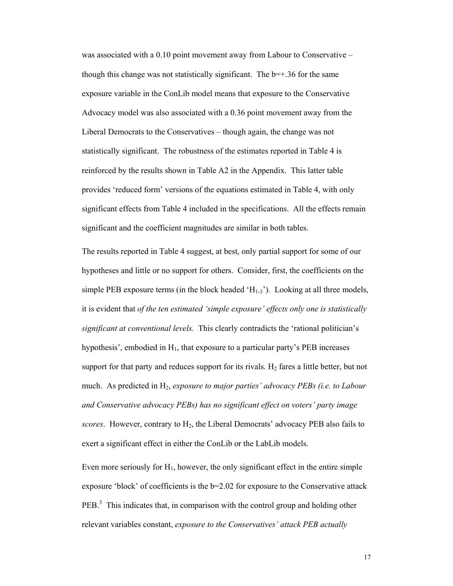was associated with a 0.10 point movement away from Labour to Conservative – though this change was not statistically significant. The  $b=+36$  for the same exposure variable in the ConLib model means that exposure to the Conservative Advocacy model was also associated with a 0.36 point movement away from the Liberal Democrats to the Conservatives – though again, the change was not statistically significant. The robustness of the estimates reported in Table 4 is reinforced by the results shown in Table A2 in the Appendix. This latter table provides 'reduced form' versions of the equations estimated in Table 4, with only significant effects from Table 4 included in the specifications. All the effects remain significant and the coefficient magnitudes are similar in both tables.

The results reported in Table 4 suggest, at best, only partial support for some of our hypotheses and little or no support for others. Consider, first, the coefficients on the simple PEB exposure terms (in the block headed  $(H_{1-3})$ ). Looking at all three models, it is evident that *of the ten estimated 'simple exposure' effects only one is statistically significant at conventional levels.* This clearly contradicts the 'rational politician's hypothesis', embodied in  $H_1$ , that exposure to a particular party's PEB increases support for that party and reduces support for its rivals.  $H_2$  fares a little better, but not much. As predicted in H<sub>2</sub>, *exposure to major parties' advocacy PEBs (i.e. to Labour and Conservative advocacy PEBs) has no significant effect on voters' party image scores*. However, contrary to H2, the Liberal Democrats' advocacy PEB also fails to exert a significant effect in either the ConLib or the LabLib models.

Even more seriously for  $H_1$ , however, the only significant effect in the entire simple exposure 'block' of coefficients is the  $b=2.02$  for exposure to the Conservative attack  $PEB<sup>3</sup>$  This indicates that, in comparison with the control group and holding other relevant variables constant, *exposure to the Conservatives' attack PEB actually*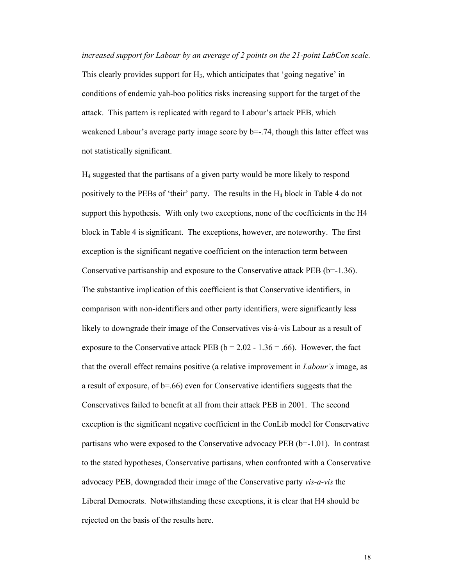*increased support for Labour by an average of 2 points on the 21-point LabCon scale.*  This clearly provides support for  $H_3$ , which anticipates that 'going negative' in

conditions of endemic yah-boo politics risks increasing support for the target of the attack. This pattern is replicated with regard to Labour's attack PEB, which weakened Labour's average party image score by  $b=-.74$ , though this latter effect was not statistically significant.

H4 suggested that the partisans of a given party would be more likely to respond positively to the PEBs of 'their' party. The results in the H4 block in Table 4 do not support this hypothesis. With only two exceptions, none of the coefficients in the H4 block in Table 4 is significant. The exceptions, however, are noteworthy. The first exception is the significant negative coefficient on the interaction term between Conservative partisanship and exposure to the Conservative attack PEB (b=-1.36). The substantive implication of this coefficient is that Conservative identifiers, in comparison with non-identifiers and other party identifiers, were significantly less likely to downgrade their image of the Conservatives vis-à-vis Labour as a result of exposure to the Conservative attack PEB ( $b = 2.02 - 1.36 = .66$ ). However, the fact that the overall effect remains positive (a relative improvement in *Labour's* image, as a result of exposure, of b=.66) even for Conservative identifiers suggests that the Conservatives failed to benefit at all from their attack PEB in 2001. The second exception is the significant negative coefficient in the ConLib model for Conservative partisans who were exposed to the Conservative advocacy PEB (b=-1.01). In contrast to the stated hypotheses, Conservative partisans, when confronted with a Conservative advocacy PEB, downgraded their image of the Conservative party *vis-a-vis* the Liberal Democrats. Notwithstanding these exceptions, it is clear that H4 should be rejected on the basis of the results here.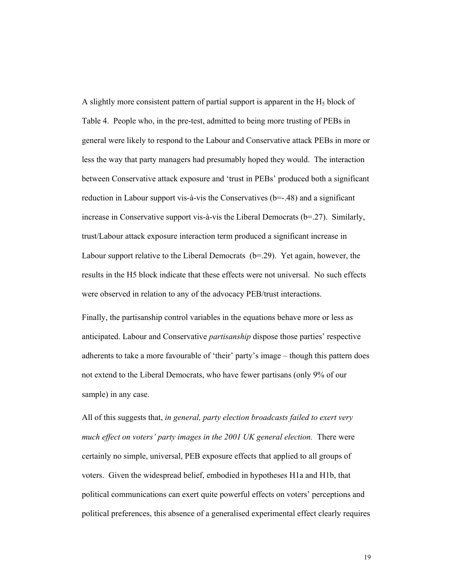A slightly more consistent pattern of partial support is apparent in the  $H<sub>5</sub>$  block of Table 4. People who, in the pre-test, admitted to being more trusting of PEBs in general were likely to respond to the Labour and Conservative attack PEBs in more or less the way that party managers had presumably hoped they would. The interaction between Conservative attack exposure and 'trust in PEBs' produced both a significant reduction in Labour support vis-à-vis the Conservatives (b=-.48) and a significant increase in Conservative support vis-à-vis the Liberal Democrats ( $b=27$ ). Similarly, trust/Labour attack exposure interaction term produced a significant increase in Labour support relative to the Liberal Democrats (b=.29). Yet again, however, the results in the H5 block indicate that these effects were not universal. No such effects were observed in relation to any of the advocacy PEB/trust interactions.

Finally, the partisanship control variables in the equations behave more or less as anticipated. Labour and Conservative *partisanship* dispose those parties' respective adherents to take a more favourable of 'their' party's image – though this pattern does not extend to the Liberal Democrats, who have fewer partisans (only 9% of our sample) in any case.

All of this suggests that, *in general, party election broadcasts failed to exert very much effect on voters' party images in the 2001 UK general election.* There were certainly no simple, universal, PEB exposure effects that applied to all groups of voters. Given the widespread belief, embodied in hypotheses H1a and H1b, that political communications can exert quite powerful effects on voters' perceptions and political preferences, this absence of a generalised experimental effect clearly requires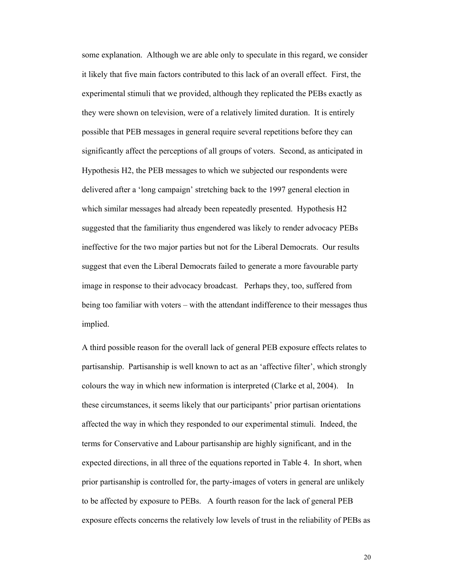some explanation. Although we are able only to speculate in this regard, we consider it likely that five main factors contributed to this lack of an overall effect. First, the experimental stimuli that we provided, although they replicated the PEBs exactly as they were shown on television, were of a relatively limited duration. It is entirely possible that PEB messages in general require several repetitions before they can significantly affect the perceptions of all groups of voters. Second, as anticipated in Hypothesis H2, the PEB messages to which we subjected our respondents were delivered after a 'long campaign' stretching back to the 1997 general election in which similar messages had already been repeatedly presented. Hypothesis H2 suggested that the familiarity thus engendered was likely to render advocacy PEBs ineffective for the two major parties but not for the Liberal Democrats. Our results suggest that even the Liberal Democrats failed to generate a more favourable party image in response to their advocacy broadcast. Perhaps they, too, suffered from being too familiar with voters – with the attendant indifference to their messages thus implied.

A third possible reason for the overall lack of general PEB exposure effects relates to partisanship. Partisanship is well known to act as an 'affective filter', which strongly colours the way in which new information is interpreted (Clarke et al, 2004). In these circumstances, it seems likely that our participants' prior partisan orientations affected the way in which they responded to our experimental stimuli. Indeed, the terms for Conservative and Labour partisanship are highly significant, and in the expected directions, in all three of the equations reported in Table 4. In short, when prior partisanship is controlled for, the party-images of voters in general are unlikely to be affected by exposure to PEBs. A fourth reason for the lack of general PEB exposure effects concerns the relatively low levels of trust in the reliability of PEBs as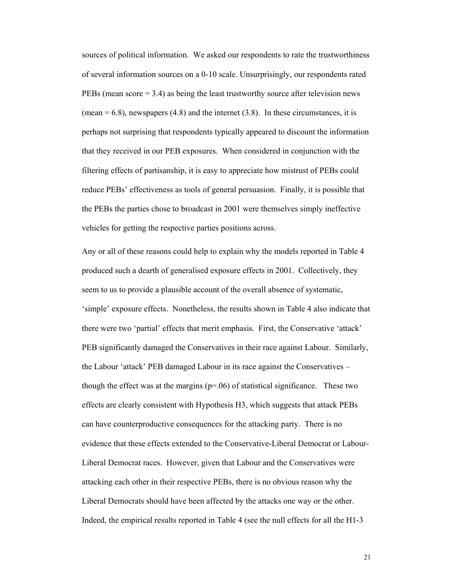sources of political information. We asked our respondents to rate the trustworthiness of several information sources on a 0-10 scale. Unsurprisingly, our respondents rated PEBs (mean score = 3.4) as being the least trustworthy source after television news (mean  $= 6.8$ ), newspapers (4.8) and the internet (3.8). In these circumstances, it is perhaps not surprising that respondents typically appeared to discount the information that they received in our PEB exposures. When considered in conjunction with the filtering effects of partisanship, it is easy to appreciate how mistrust of PEBs could reduce PEBs' effectiveness as tools of general persuasion. Finally, it is possible that the PEBs the parties chose to broadcast in 2001 were themselves simply ineffective vehicles for getting the respective parties positions across.

Any or all of these reasons could help to explain why the models reported in Table 4 produced such a dearth of generalised exposure effects in 2001. Collectively, they seem to us to provide a plausible account of the overall absence of systematic, 'simple' exposure effects. Nonetheless, the results shown in Table 4 also indicate that there were two 'partial' effects that merit emphasis. First, the Conservative 'attack' PEB significantly damaged the Conservatives in their race against Labour. Similarly, the Labour 'attack' PEB damaged Labour in its race against the Conservatives – though the effect was at the margins  $(p=0.06)$  of statistical significance. These two effects are clearly consistent with Hypothesis H3, which suggests that attack PEBs can have counterproductive consequences for the attacking party. There is no evidence that these effects extended to the Conservative-Liberal Democrat or Labour-Liberal Democrat races. However, given that Labour and the Conservatives were attacking each other in their respective PEBs, there is no obvious reason why the Liberal Democrats should have been affected by the attacks one way or the other. Indeed, the empirical results reported in Table 4 (see the null effects for all the H1-3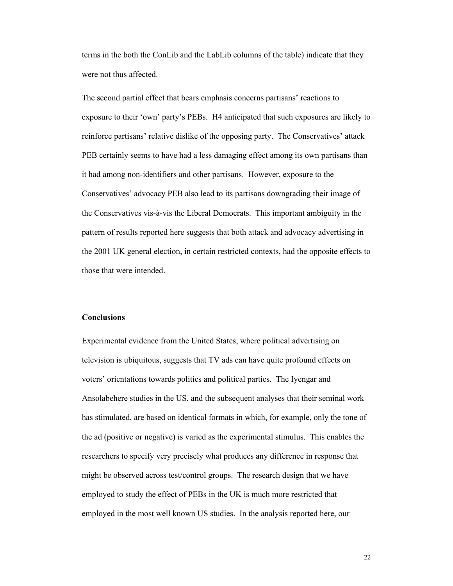terms in the both the ConLib and the LabLib columns of the table) indicate that they were not thus affected.

The second partial effect that bears emphasis concerns partisans' reactions to exposure to their 'own' party's PEBs. H4 anticipated that such exposures are likely to reinforce partisans' relative dislike of the opposing party. The Conservatives' attack PEB certainly seems to have had a less damaging effect among its own partisans than it had among non-identifiers and other partisans. However, exposure to the Conservatives' advocacy PEB also lead to its partisans downgrading their image of the Conservatives vis-à-vis the Liberal Democrats. This important ambiguity in the pattern of results reported here suggests that both attack and advocacy advertising in the 2001 UK general election, in certain restricted contexts, had the opposite effects to those that were intended.

# **Conclusions**

Experimental evidence from the United States, where political advertising on television is ubiquitous, suggests that TV ads can have quite profound effects on voters' orientations towards politics and political parties. The Iyengar and Ansolabehere studies in the US, and the subsequent analyses that their seminal work has stimulated, are based on identical formats in which, for example, only the tone of the ad (positive or negative) is varied as the experimental stimulus. This enables the researchers to specify very precisely what produces any difference in response that might be observed across test/control groups. The research design that we have employed to study the effect of PEBs in the UK is much more restricted that employed in the most well known US studies. In the analysis reported here, our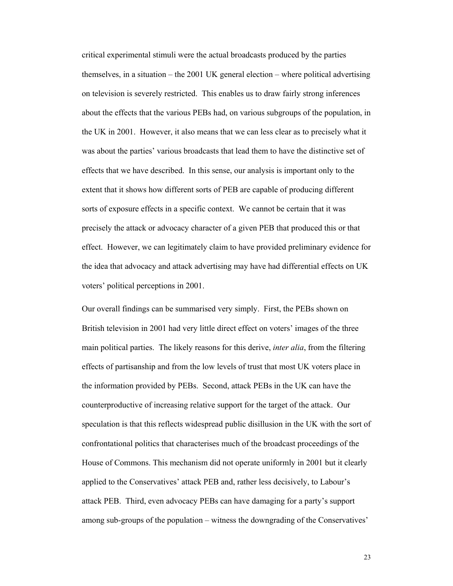critical experimental stimuli were the actual broadcasts produced by the parties themselves, in a situation – the 2001 UK general election – where political advertising on television is severely restricted. This enables us to draw fairly strong inferences about the effects that the various PEBs had, on various subgroups of the population, in the UK in 2001. However, it also means that we can less clear as to precisely what it was about the parties' various broadcasts that lead them to have the distinctive set of effects that we have described. In this sense, our analysis is important only to the extent that it shows how different sorts of PEB are capable of producing different sorts of exposure effects in a specific context. We cannot be certain that it was precisely the attack or advocacy character of a given PEB that produced this or that effect. However, we can legitimately claim to have provided preliminary evidence for the idea that advocacy and attack advertising may have had differential effects on UK voters' political perceptions in 2001.

Our overall findings can be summarised very simply. First, the PEBs shown on British television in 2001 had very little direct effect on voters' images of the three main political parties. The likely reasons for this derive, *inter alia*, from the filtering effects of partisanship and from the low levels of trust that most UK voters place in the information provided by PEBs. Second, attack PEBs in the UK can have the counterproductive of increasing relative support for the target of the attack. Our speculation is that this reflects widespread public disillusion in the UK with the sort of confrontational politics that characterises much of the broadcast proceedings of the House of Commons. This mechanism did not operate uniformly in 2001 but it clearly applied to the Conservatives' attack PEB and, rather less decisively, to Labour's attack PEB. Third, even advocacy PEBs can have damaging for a party's support among sub-groups of the population – witness the downgrading of the Conservatives'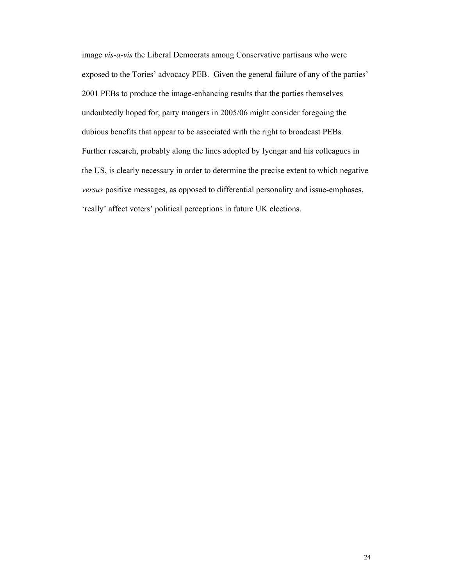image *vis-a-vis* the Liberal Democrats among Conservative partisans who were exposed to the Tories' advocacy PEB. Given the general failure of any of the parties' 2001 PEBs to produce the image-enhancing results that the parties themselves undoubtedly hoped for, party mangers in 2005/06 might consider foregoing the dubious benefits that appear to be associated with the right to broadcast PEBs. Further research, probably along the lines adopted by Iyengar and his colleagues in the US, is clearly necessary in order to determine the precise extent to which negative *versus* positive messages, as opposed to differential personality and issue-emphases, 'really' affect voters' political perceptions in future UK elections.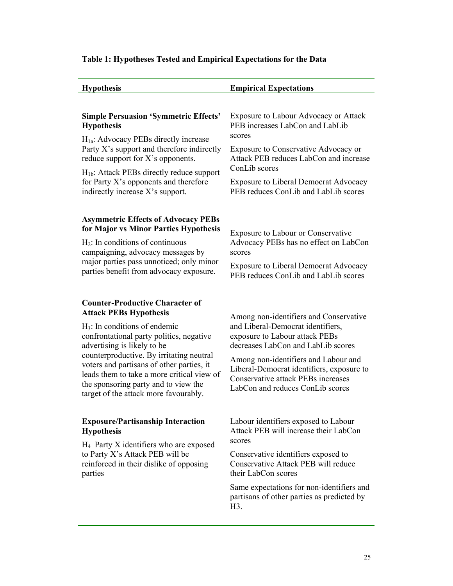# **Table 1: Hypotheses Tested and Empirical Expectations for the Data**

| <b>Hypothesis</b>                                                                                                                                                                                                                                                                                                                                                                                              | <b>Empirical Expectations</b>                                                                                                                                                                                                                                                                                      |  |  |  |  |
|----------------------------------------------------------------------------------------------------------------------------------------------------------------------------------------------------------------------------------------------------------------------------------------------------------------------------------------------------------------------------------------------------------------|--------------------------------------------------------------------------------------------------------------------------------------------------------------------------------------------------------------------------------------------------------------------------------------------------------------------|--|--|--|--|
| <b>Simple Persuasion 'Symmetric Effects'</b><br><b>Hypothesis</b><br>$H1a$ : Advocacy PEBs directly increase<br>Party X's support and therefore indirectly                                                                                                                                                                                                                                                     | Exposure to Labour Advocacy or Attack<br>PEB increases LabCon and LabLib<br>scores<br>Exposure to Conservative Advocacy or                                                                                                                                                                                         |  |  |  |  |
| reduce support for X's opponents.<br>$H_{1b}$ : Attack PEBs directly reduce support<br>for Party X's opponents and therefore<br>indirectly increase X's support.                                                                                                                                                                                                                                               | Attack PEB reduces LabCon and increase<br>ConLib scores<br><b>Exposure to Liberal Democrat Advocacy</b><br>PEB reduces ConLib and LabLib scores                                                                                                                                                                    |  |  |  |  |
| <b>Asymmetric Effects of Advocacy PEBs</b><br>for Major vs Minor Parties Hypothesis<br>$H_2$ : In conditions of continuous<br>campaigning, advocacy messages by<br>major parties pass unnoticed; only minor<br>parties benefit from advocacy exposure.                                                                                                                                                         | Exposure to Labour or Conservative<br>Advocacy PEBs has no effect on LabCon<br>scores<br><b>Exposure to Liberal Democrat Advocacy</b><br>PEB reduces ConLib and LabLib scores                                                                                                                                      |  |  |  |  |
| <b>Counter-Productive Character of</b><br><b>Attack PEBs Hypothesis</b><br>$H_3$ : In conditions of endemic<br>confrontational party politics, negative<br>advertising is likely to be<br>counterproductive. By irritating neutral<br>voters and partisans of other parties, it<br>leads them to take a more critical view of<br>the sponsoring party and to view the<br>target of the attack more favourably. | Among non-identifiers and Conservative<br>and Liberal-Democrat identifiers,<br>exposure to Labour attack PEBs<br>decreases LabCon and LabLib scores<br>Among non-identifiers and Labour and<br>Liberal-Democrat identifiers, exposure to<br>Conservative attack PEBs increases<br>LabCon and reduces ConLib scores |  |  |  |  |
| <b>Exposure/Partisanship Interaction</b><br><b>Hypothesis</b><br>$H_4$ Party X identifiers who are exposed<br>to Party X's Attack PEB will be<br>reinforced in their dislike of opposing<br>parties                                                                                                                                                                                                            | Labour identifiers exposed to Labour<br>Attack PEB will increase their LabCon<br>scores<br>Conservative identifiers exposed to<br>Conservative Attack PEB will reduce<br>their LabCon scores<br>Same expectations for non-identifiers and<br>partisans of other parties as predicted by<br>H3.                     |  |  |  |  |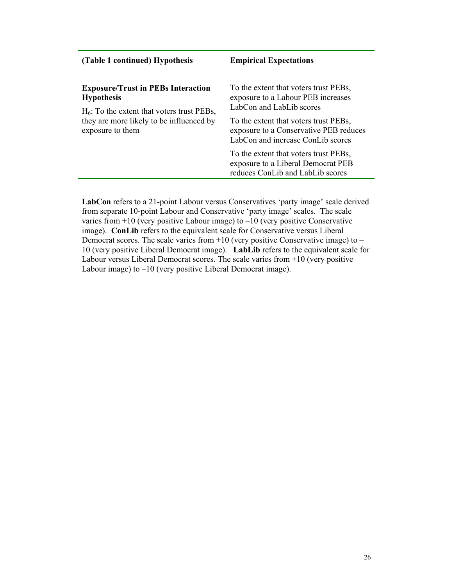| (Table 1 continued) Hypothesis                                                                                                                                                  | <b>Empirical Expectations</b>                                                                                                                                                                                                   |  |  |  |  |
|---------------------------------------------------------------------------------------------------------------------------------------------------------------------------------|---------------------------------------------------------------------------------------------------------------------------------------------------------------------------------------------------------------------------------|--|--|--|--|
| <b>Exposure/Trust in PEBs Interaction</b><br><b>Hypothesis</b><br>$H_6$ : To the extent that voters trust PEBs,<br>they are more likely to be influenced by<br>exposure to them | To the extent that voters trust PEBs,<br>exposure to a Labour PEB increases<br>LabCon and LabLib scores<br>To the extent that voters trust PEBs,<br>exposure to a Conservative PEB reduces<br>LabCon and increase ConLib scores |  |  |  |  |
|                                                                                                                                                                                 | To the extent that voters trust PEBs,<br>exposure to a Liberal Democrat PEB<br>reduces ConLib and LabLib scores                                                                                                                 |  |  |  |  |

**LabCon** refers to a 21-point Labour versus Conservatives 'party image' scale derived from separate 10-point Labour and Conservative 'party image' scales. The scale varies from  $+10$  (very positive Labour image) to  $-10$  (very positive Conservative image). **ConLib** refers to the equivalent scale for Conservative versus Liberal Democrat scores. The scale varies from  $+10$  (very positive Conservative image) to  $-$ 10 (very positive Liberal Democrat image). **LabLib** refers to the equivalent scale for Labour versus Liberal Democrat scores. The scale varies from +10 (very positive Labour image) to –10 (very positive Liberal Democrat image).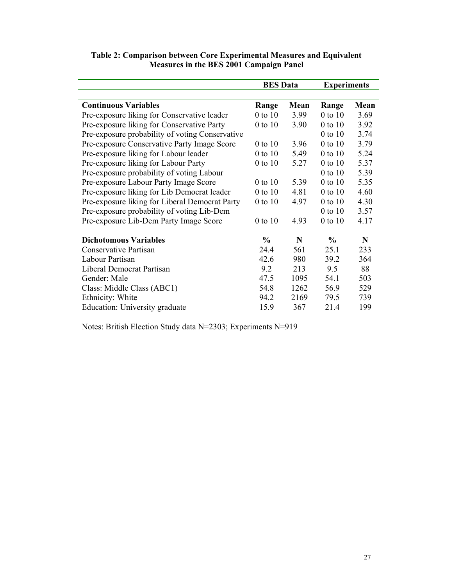|                                                 | <b>BES</b> Data |      | <b>Experiments</b> |      |  |
|-------------------------------------------------|-----------------|------|--------------------|------|--|
|                                                 |                 |      |                    |      |  |
| <b>Continuous Variables</b>                     | Range           | Mean | Range              | Mean |  |
| Pre-exposure liking for Conservative leader     | 0 to 10         | 3.99 | 0 to 10            | 3.69 |  |
| Pre-exposure liking for Conservative Party      | 0 to 10         | 3.90 | $0$ to $10$        | 3.92 |  |
| Pre-exposure probability of voting Conservative |                 |      | $0$ to $10$        | 3.74 |  |
| Pre-exposure Conservative Party Image Score     | 0 to 10         | 3.96 | 0 to 10            | 3.79 |  |
| Pre-exposure liking for Labour leader           | $0$ to $10$     | 5.49 | $0$ to $10$        | 5.24 |  |
| Pre-exposure liking for Labour Party            | $0$ to $10$     | 5.27 | $0$ to $10$        | 5.37 |  |
| Pre-exposure probability of voting Labour       |                 |      | $0$ to $10$        | 5.39 |  |
| Pre-exposure Labour Party Image Score           | $0$ to $10$     | 5.39 | $0$ to $10$        | 5.35 |  |
| Pre-exposure liking for Lib Democrat leader     | $0$ to $10$     | 4.81 | 0 to 10            | 4.60 |  |
| Pre-exposure liking for Liberal Democrat Party  | $0$ to $10$     | 4.97 | $0$ to $10$        | 4.30 |  |
| Pre-exposure probability of voting Lib-Dem      |                 |      | $0$ to $10$        | 3.57 |  |
| Pre-exposure Lib-Dem Party Image Score          | $0$ to $10$     | 4.93 | $0$ to $10$        | 4.17 |  |
| <b>Dichotomous Variables</b>                    | $\frac{0}{0}$   | N    | $\%$               | N    |  |
| Conservative Partisan                           | 24.4            | 561  | 25.1               | 233  |  |
| Labour Partisan                                 | 42.6            | 980  | 39.2               | 364  |  |
| Liberal Democrat Partisan                       | 9.2             | 213  | 9.5                | 88   |  |
| Gender: Male                                    | 47.5            | 1095 | 54.1               | 503  |  |
| Class: Middle Class (ABC1)                      | 54.8            | 1262 | 56.9               | 529  |  |
| Ethnicity: White                                | 94.2            | 2169 | 79.5               | 739  |  |
| Education: University graduate                  | 15.9            | 367  | 21.4               | 199  |  |

# **Table 2: Comparison between Core Experimental Measures and Equivalent Measures in the BES 2001 Campaign Panel**

Notes: British Election Study data N=2303; Experiments N=919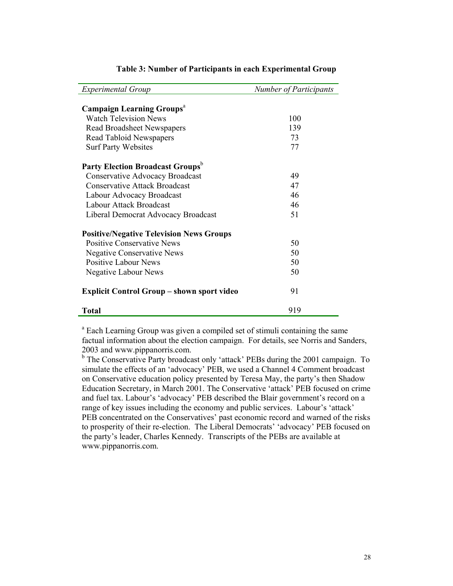| <b>Experimental Group</b>                         | <b>Number of Participants</b> |
|---------------------------------------------------|-------------------------------|
|                                                   |                               |
| <b>Campaign Learning Groups</b> <sup>a</sup>      |                               |
| <b>Watch Television News</b>                      | 100                           |
| Read Broadsheet Newspapers                        | 139                           |
| Read Tabloid Newspapers                           | 73                            |
| <b>Surf Party Websites</b>                        | 77                            |
| <b>Party Election Broadcast Groups</b>            |                               |
| Conservative Advocacy Broadcast                   | 49                            |
| <b>Conservative Attack Broadcast</b>              | 47                            |
| Labour Advocacy Broadcast                         | 46                            |
| Labour Attack Broadcast                           | 46                            |
| Liberal Democrat Advocacy Broadcast               | 51                            |
| <b>Positive/Negative Television News Groups</b>   |                               |
| <b>Positive Conservative News</b>                 | 50                            |
| <b>Negative Conservative News</b>                 | 50                            |
| <b>Positive Labour News</b>                       | 50                            |
| <b>Negative Labour News</b>                       | 50                            |
| <b>Explicit Control Group – shown sport video</b> | 91                            |
| <b>Total</b>                                      | 919                           |

# **Table 3: Number of Participants in each Experimental Group**

<sup>a</sup> Each Learning Group was given a compiled set of stimuli containing the same factual information about the election campaign. For details, see Norris and Sanders, 2003 and www.pippanorris.com.

<sup>b</sup> The Conservative Party broadcast only 'attack' PEBs during the 2001 campaign. To simulate the effects of an 'advocacy' PEB, we used a Channel 4 Comment broadcast on Conservative education policy presented by Teresa May, the party's then Shadow Education Secretary, in March 2001. The Conservative 'attack' PEB focused on crime and fuel tax. Labour's 'advocacy' PEB described the Blair government's record on a range of key issues including the economy and public services. Labour's 'attack' PEB concentrated on the Conservatives' past economic record and warned of the risks to prosperity of their re-election. The Liberal Democrats' 'advocacy' PEB focused on the party's leader, Charles Kennedy. Transcripts of the PEBs are available at www.pippanorris.com.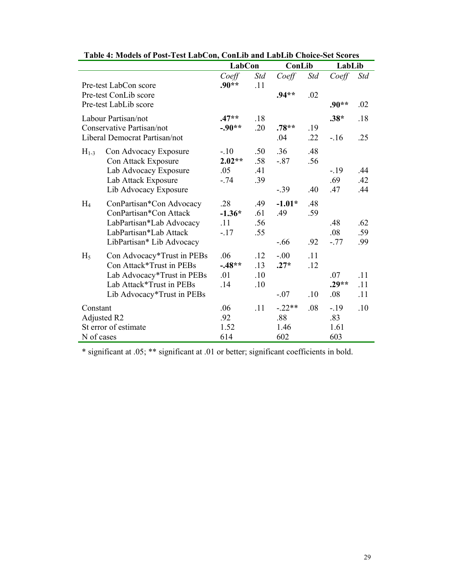| 7. MORGS OF FOST FUST LADUOH, COHLID AND LADLID UNOIC-SUI SCOTUS |                                                  |                     |            |               |            |         |            |  |  |
|------------------------------------------------------------------|--------------------------------------------------|---------------------|------------|---------------|------------|---------|------------|--|--|
|                                                                  |                                                  | <b>LabCon</b>       |            | ConLib        |            | LabLib  |            |  |  |
|                                                                  | Pre-test LabCon score                            | Coeff<br>$.90**$    | Std<br>.11 | Coeff         | <b>Std</b> | Coeff   | <b>Std</b> |  |  |
|                                                                  | Pre-test ConLib score<br>Pre-test LabLib score   |                     |            | $.94**$       | .02        | $.90**$ | .02        |  |  |
|                                                                  | Labour Partisan/not<br>Conservative Partisan/not | $.47**$<br>$-.90**$ | .18<br>.20 | $.78**$       | .19        | $.38*$  | .18        |  |  |
|                                                                  | Liberal Democrat Partisan/not                    |                     |            | .04           | .22        | $-.16$  | .25        |  |  |
| $H_{1-3}$                                                        | Con Advocacy Exposure<br>Con Attack Exposure     | $-10$<br>$2.02**$   | .50<br>.58 | .36<br>$-.87$ | .48<br>.56 |         |            |  |  |
|                                                                  | Lab Advocacy Exposure                            | .05                 | .41        |               |            | $-19$   | .44        |  |  |
|                                                                  | Lab Attack Exposure                              | $-.74$              | .39        |               |            | .69     | .42        |  |  |
|                                                                  | Lib Advocacy Exposure                            |                     |            | $-39$         | .40        | .47     | .44        |  |  |
| $H_4$                                                            | ConPartisan*Con Advocacy                         | .28                 | .49        | $-1.01*$      | .48        |         |            |  |  |
|                                                                  | ConPartisan*Con Attack                           | $-1.36*$            | .61        | .49           | .59        |         |            |  |  |
|                                                                  | LabPartisan*Lab Advocacy                         | .11                 | .56        |               |            | .48     | .62        |  |  |
|                                                                  | LabPartisan*Lab Attack                           | $-17$               | .55        |               |            | .08     | .59        |  |  |
|                                                                  | LibPartisan* Lib Advocacy                        |                     |            | $-.66$        | .92        | $-.77$  | .99        |  |  |
| $H_5$                                                            | Con Advocacy*Trust in PEBs                       | .06                 | .12        | $-.00$        | .11        |         |            |  |  |
|                                                                  | Con Attack*Trust in PEBs                         | $-.48**$            | .13        | $.27*$        | .12        |         |            |  |  |
|                                                                  | Lab Advocacy*Trust in PEBs                       | .01                 | .10        |               |            | .07     | .11        |  |  |
|                                                                  | Lab Attack*Trust in PEBs                         | .14                 | .10        |               |            | $.29**$ | .11        |  |  |
|                                                                  | Lib Advocacy*Trust in PEBs                       |                     |            | $-.07$        | .10        | .08     | .11        |  |  |
| Constant                                                         |                                                  | .06                 | .11        | $-.22**$      | .08        | $-19$   | .10        |  |  |
|                                                                  | Adjusted R2                                      | .92                 |            | .88           |            | .83     |            |  |  |
|                                                                  | St error of estimate                             | 1.52                |            | 1.46          |            | 1.61    |            |  |  |
| N of cases                                                       |                                                  | 614                 |            | 602           |            | 603     |            |  |  |

| Table 4: Models of Post-Test LabCon, ConLib and LabLib Choice-Set Scores |
|--------------------------------------------------------------------------|
|--------------------------------------------------------------------------|

\* significant at .05; \*\* significant at .01 or better; significant coefficients in bold.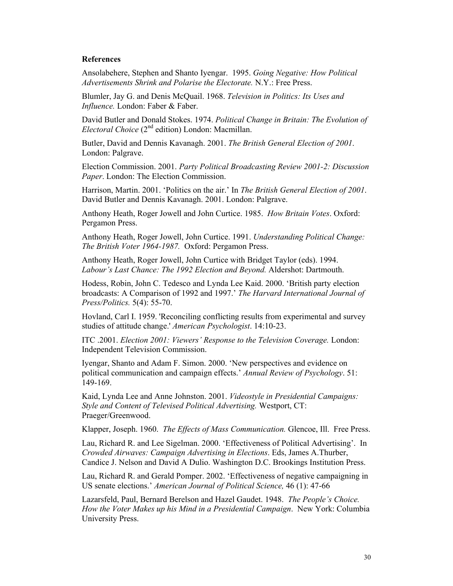# **References**

Ansolabehere, Stephen and Shanto Iyengar. 1995. *Going Negative: How Political Advertisements Shrink and Polarise the Electorate.* N.Y.: Free Press.

Blumler, Jay G. and Denis McQuail. 1968. *Television in Politics: Its Uses and Influence.* London: Faber & Faber.

David Butler and Donald Stokes. 1974. *Political Change in Britain: The Evolution of Electoral Choice* (2<sup>nd</sup> edition) London: Macmillan.

Butler, David and Dennis Kavanagh. 2001. *The British General Election of 2001*. London: Palgrave.

Election Commission. 2001. *Party Political Broadcasting Review 2001-2: Discussion Paper*. London: The Election Commission.

Harrison, Martin. 2001. 'Politics on the air.' In *The British General Election of 2001*. David Butler and Dennis Kavanagh. 2001. London: Palgrave.

Anthony Heath, Roger Jowell and John Curtice. 1985. *How Britain Votes*. Oxford: Pergamon Press.

Anthony Heath, Roger Jowell, John Curtice. 1991. *Understanding Political Change: The British Voter 1964-1987.* Oxford: Pergamon Press.

Anthony Heath, Roger Jowell, John Curtice with Bridget Taylor (eds). 1994. *Labour's Last Chance: The 1992 Election and Beyond.* Aldershot: Dartmouth.

Hodess, Robin, John C. Tedesco and Lynda Lee Kaid. 2000. 'British party election broadcasts: A Comparison of 1992 and 1997.' *The Harvard International Journal of Press/Politics.* 5(4): 55-70.

Hovland, Carl I. 1959. 'Reconciling conflicting results from experimental and survey studies of attitude change.' *American Psychologist*. 14:10-23.

ITC .2001. *Election 2001: Viewers' Response to the Television Coverage.* London: Independent Television Commission.

Iyengar, Shanto and Adam F. Simon. 2000. 'New perspectives and evidence on political communication and campaign effects.' *Annual Review of Psychology*. 51: 149-169.

Kaid, Lynda Lee and Anne Johnston. 2001. *Videostyle in Presidential Campaigns: Style and Content of Televised Political Advertising.* Westport, CT: Praeger/Greenwood.

Klapper, Joseph. 1960. *The Effects of Mass Communication.* Glencoe, Ill. Free Press.

Lau, Richard R. and Lee Sigelman. 2000. 'Effectiveness of Political Advertising'. In *Crowded Airwaves: Campaign Advertising in Elections*. Eds, James A.Thurber, Candice J. Nelson and David A Dulio. Washington D.C. Brookings Institution Press.

Lau, Richard R. and Gerald Pomper. 2002. 'Effectiveness of negative campaigning in US senate elections.' *American Journal of Political Science,* 46 (1): 47-66

Lazarsfeld, Paul, Bernard Berelson and Hazel Gaudet. 1948. *The People's Choice. How the Voter Makes up his Mind in a Presidential Campaign*. New York: Columbia University Press.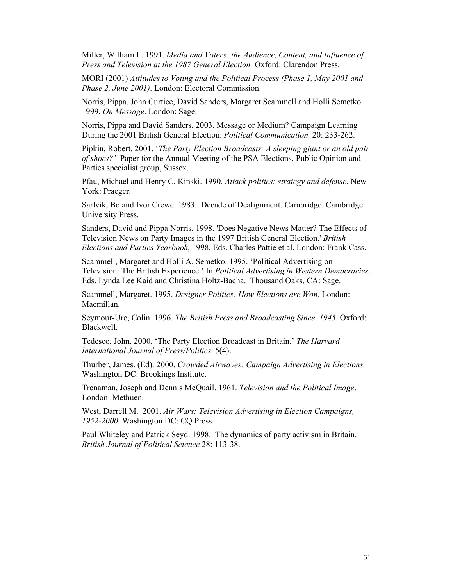Miller, William L. 1991. *Media and Voters: the Audience, Content, and Influence of Press and Television at the 1987 General Election.* Oxford: Clarendon Press.

MORI (2001) *Attitudes to Voting and the Political Process (Phase 1, May 2001 and Phase 2, June 2001)*. London: Electoral Commission.

Norris, Pippa, John Curtice, David Sanders, Margaret Scammell and Holli Semetko. 1999. *On Message*. London: Sage.

Norris, Pippa and David Sanders. 2003. Message or Medium? Campaign Learning During the 2001 British General Election. *Political Communication.* 20: 233-262.

Pipkin, Robert. 2001. '*The Party Election Broadcasts: A sleeping giant or an old pair of shoes?'* Paper for the Annual Meeting of the PSA Elections, Public Opinion and Parties specialist group, Sussex.

Pfau, Michael and Henry C. Kinski. 1990. *Attack politics: strategy and defense*. New York: Praeger.

Sarlvik, Bo and Ivor Crewe. 1983. Decade of Dealignment. Cambridge. Cambridge University Press.

Sanders, David and Pippa Norris. 1998. 'Does Negative News Matter? The Effects of Television News on Party Images in the 1997 British General Election.' *British Elections and Parties Yearbook*, 1998. Eds. Charles Pattie et al. London: Frank Cass.

Scammell, Margaret and Holli A. Semetko. 1995. 'Political Advertising on Television: The British Experience.' In *Political Advertising in Western Democracies*. Eds. Lynda Lee Kaid and Christina Holtz-Bacha. Thousand Oaks, CA: Sage.

Scammell, Margaret. 1995. *Designer Politics: How Elections are Won*. London: Macmillan.

Seymour-Ure, Colin. 1996. *The British Press and Broadcasting Since 1945*. Oxford: Blackwell.

Tedesco, John. 2000. 'The Party Election Broadcast in Britain.' *The Harvard International Journal of Press/Politics*. 5(4).

Thurber, James. (Ed). 2000. *Crowded Airwaves: Campaign Advertising in Elections.* Washington DC: Brookings Institute.

Trenaman, Joseph and Dennis McQuail. 1961. *Television and the Political Image*. London: Methuen.

West, Darrell M. 2001. *Air Wars: Television Advertising in Election Campaigns, 1952-2000.* Washington DC: CQ Press.

Paul Whiteley and Patrick Seyd. 1998. The dynamics of party activism in Britain. *British Journal of Political Science* 28: 113-38.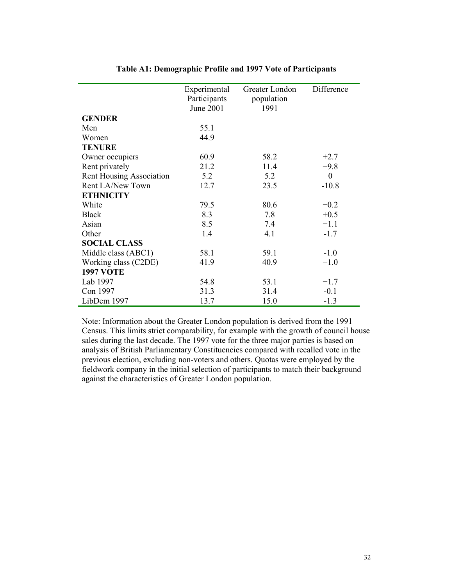|                          | Experimental<br>Participants<br><b>June 2001</b> | Greater London<br>population<br>1991 | Difference       |
|--------------------------|--------------------------------------------------|--------------------------------------|------------------|
| <b>GENDER</b>            |                                                  |                                      |                  |
| Men                      | 55.1                                             |                                      |                  |
| Women                    | 44.9                                             |                                      |                  |
| <b>TENURE</b>            |                                                  |                                      |                  |
| Owner occupiers          | 60.9                                             | 58.2                                 | $+2.7$           |
| Rent privately           | 21.2                                             | 11.4                                 | $+9.8$           |
| Rent Housing Association | 5.2                                              | 5.2                                  | $\boldsymbol{0}$ |
| Rent LA/New Town         | 12.7                                             | 23.5                                 | $-10.8$          |
| <b>ETHNICITY</b>         |                                                  |                                      |                  |
| White                    | 79.5                                             | 80.6                                 | $+0.2$           |
| <b>Black</b>             | 8.3                                              | 7.8                                  | $+0.5$           |
| Asian                    | 8.5                                              | 7.4                                  | $+1.1$           |
| Other                    | 1.4                                              | 4.1                                  | $-1.7$           |
| <b>SOCIAL CLASS</b>      |                                                  |                                      |                  |
| Middle class (ABC1)      | 58.1                                             | 59.1                                 | $-1.0$           |
| Working class (C2DE)     | 41.9                                             | 40.9                                 | $+1.0$           |
| <b>1997 VOTE</b>         |                                                  |                                      |                  |
| Lab 1997                 | 54.8                                             | 53.1                                 | $+1.7$           |
| Con 1997                 | 31.3                                             | 31.4                                 | $-0.1$           |
| LibDem 1997              | 13.7                                             | 15.0                                 | $-1.3$           |

# **Table A1: Demographic Profile and 1997 Vote of Participants**

Note: Information about the Greater London population is derived from the 1991 Census. This limits strict comparability, for example with the growth of council house sales during the last decade. The 1997 vote for the three major parties is based on analysis of British Parliamentary Constituencies compared with recalled vote in the previous election, excluding non-voters and others. Quotas were employed by the fieldwork company in the initial selection of participants to match their background against the characteristics of Greater London population.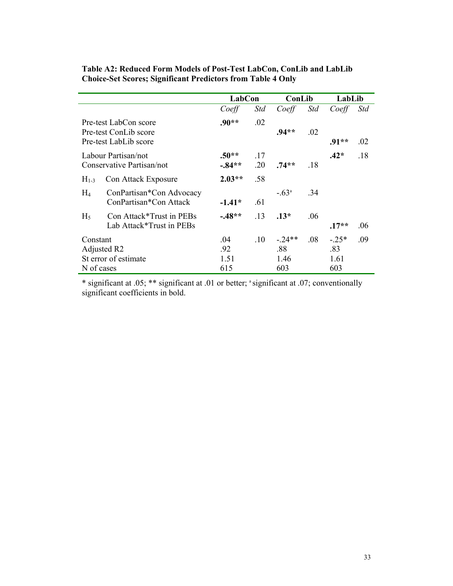|            |                                                                         | LabCon               |            | ConLib           |     | LabLib         |            |
|------------|-------------------------------------------------------------------------|----------------------|------------|------------------|-----|----------------|------------|
|            |                                                                         | Coeff                | Std        | Coeff            | Std | Coeff          | <i>Std</i> |
|            | Pre-test LabCon score<br>Pre-test ConLib score<br>Pre-test LabLib score | $.90**$              | .02        | $.94**$          | .02 | .91**          | .02        |
|            | Labour Partisan/not<br>Conservative Partisan/not                        | $.50**$<br>$-0.84**$ | .17<br>.20 | $.74**$          | .18 | $.42*$         | .18        |
| $H_{1-3}$  | Con Attack Exposure                                                     | $2.03**$             | .58        |                  |     |                |            |
| $H_4$      | ConPartisan*Con Advocacy<br>ConPartisan*Con Attack                      | $-1.41*$             | .61        | $-63^{\circ}$    | .34 |                |            |
| $H_5$      | Con Attack*Trust in PEBs<br>Lab Attack*Trust in PEBs                    | $-48**$              | .13        | $.13*$           | .06 | $.17**$        | .06        |
| Constant   | Adjusted R2                                                             | .04<br>.92           | $.10\,$    | $-0.24**$<br>.88 | .08 | $-.25*$<br>.83 | .09        |
| N of cases | St error of estimate                                                    | 1.51<br>615          |            | 1.46<br>603      |     | 1.61<br>603    |            |

# **Table A2: Reduced Form Models of Post-Test LabCon, ConLib and LabLib Choice-Set Scores; Significant Predictors from Table 4 Only**

\* significant at .05; \*\* significant at .01 or better; a significant at .07; conventionally significant coefficients in bold.